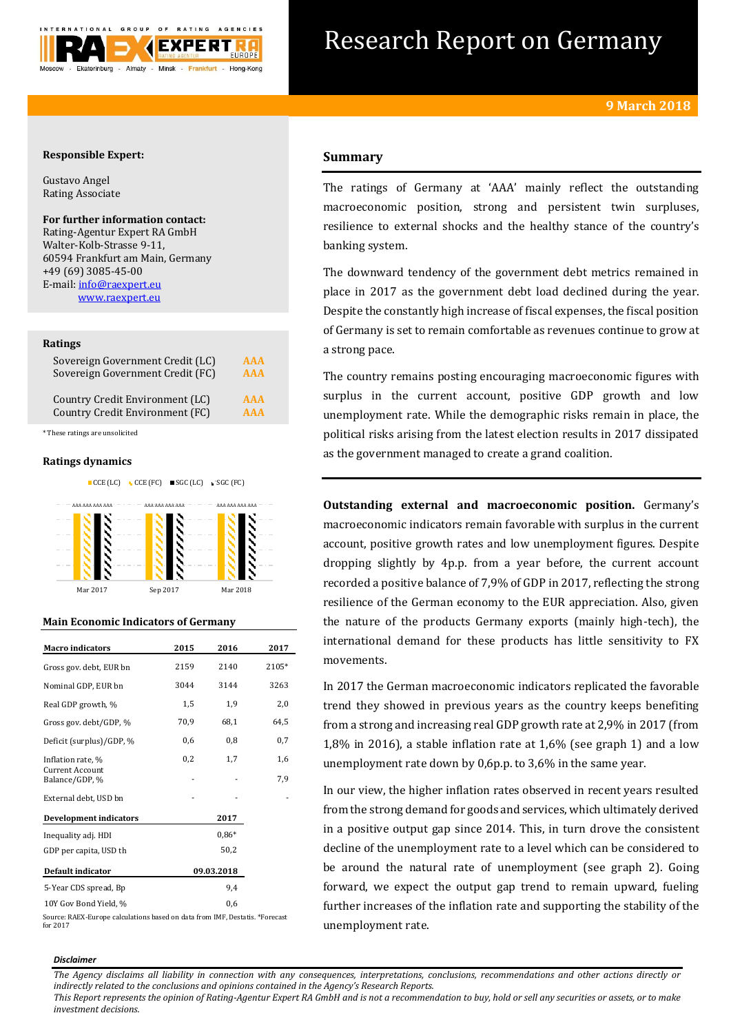

# Research Report on Germany

# **Responsible Expert:**

Gustavo Angel Rating Associate

# **For further information contact:**

Rating-Agentur Expert RA GmbH Walter-Kolb-Strasse 9-11, 60594 Frankfurt am Main, Germany +49 (69) 3085-45-00 E-mail[: info@raexpert.eu](mailto:info@raexpert.eu) [www.raexpert.eu](http://raexpert.eu/)

## **Ratings**

| Sovereign Government Credit (LC) | <b>AAA</b> |
|----------------------------------|------------|
| Sovereign Government Credit (FC) | <b>AAA</b> |
| Country Credit Environment (LC)  | <b>AAA</b> |
| Country Credit Environment (FC)  | <b>AAA</b> |

\* These ratings are unsolicited

# **Ratings dynamics**





## **Main Economic Indicators of Germany**

| <b>Macro indicators</b>                  | 2015       | 2016    | 2017  |
|------------------------------------------|------------|---------|-------|
| Gross gov. debt, EUR bn                  | 2159       | 2140    | 2105* |
| Nominal GDP, EUR bn                      | 3044       | 3144    | 3263  |
| Real GDP growth, %                       | 1,5        | 1,9     | 2,0   |
| Gross gov. debt/GDP, %                   | 70,9       | 68,1    | 64,5  |
| Deficit (surplus)/GDP, %                 | 0,6        | 0,8     | 0,7   |
| Inflation rate, %                        | 0,2        | 1,7     | 1,6   |
| <b>Current Account</b><br>Balance/GDP, % |            |         | 7,9   |
| External debt, USD bn                    |            |         |       |
| <b>Development indicators</b>            |            | 2017    |       |
| Inequality adj. HDI                      |            | $0.86*$ |       |
| GDP per capita, USD th                   |            | 50,2    |       |
| Default indicator                        | 09.03.2018 |         |       |
| 5-Year CDS spread, Bp                    |            | 9,4     |       |
| 10Y Gov Bond Yield %                     | 06         |         |       |

Source: RAEX-Europe calculations based on data from IMF, Destatis. \*Forecast for 2017

# **Summary**

The ratings of Germany at 'AAA' mainly reflect the outstanding macroeconomic position, strong and persistent twin surpluses, resilience to external shocks and the healthy stance of the country's banking system.

The downward tendency of the government debt metrics remained in place in 2017 as the government debt load declined during the year. Despite the constantly high increase of fiscal expenses, the fiscal position of Germany is set to remain comfortable as revenues continue to grow at a strong pace.

The country remains posting encouraging macroeconomic figures with surplus in the current account, positive GDP growth and low unemployment rate. While the demographic risks remain in place, the political risks arising from the latest election results in 2017 dissipated as the government managed to create a grand coalition.

**Outstanding external and macroeconomic position.** Germany's macroeconomic indicators remain favorable with surplus in the current account, positive growth rates and low unemployment figures. Despite dropping slightly by 4p.p. from a year before, the current account recorded a positive balance of 7,9% of GDP in 2017, reflecting the strong resilience of the German economy to the EUR appreciation. Also, given the nature of the products Germany exports (mainly high-tech), the international demand for these products has little sensitivity to FX movements.

In 2017 the German macroeconomic indicators replicated the favorable trend they showed in previous years as the country keeps benefiting from a strong and increasing real GDP growth rate at 2,9% in 2017 (from 1,8% in 2016), a stable inflation rate at 1,6% (see graph 1) and a low unemployment rate down by 0,6p.p. to 3,6% in the same year.

In our view, the higher inflation rates observed in recent years resulted from the strong demand for goods and services, which ultimately derived in a positive output gap since 2014. This, in turn drove the consistent decline of the unemployment rate to a level which can be considered to be around the natural rate of unemployment (see graph 2). Going forward, we expect the output gap trend to remain upward, fueling further increases of the inflation rate and supporting the stability of the unemployment rate.

#### *Disclaimer*

*The Agency disclaims all liability in connection with any consequences, interpretations, conclusions, recommendations and other actions directly or indirectly related to the conclusions and opinions contained in the Agency's Research Reports.*

*This Report represents the opinion of Rating-Agentur Expert RA GmbH and is not a recommendation to buy, hold or sell any securities or assets, or to make investment decisions.*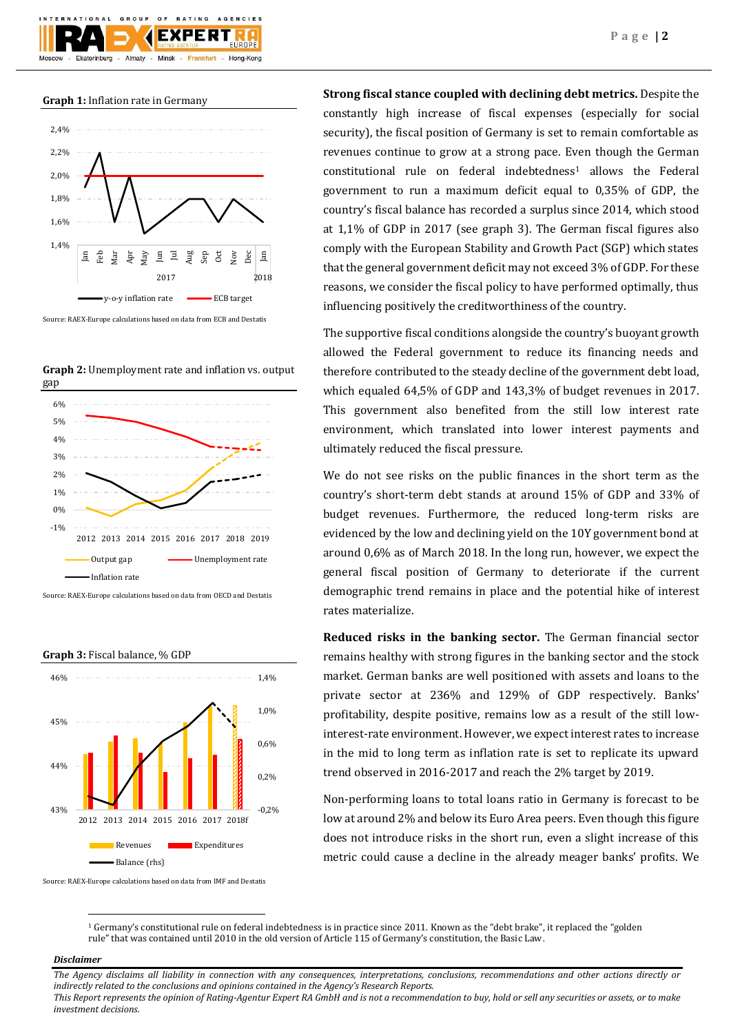**Graph 1:** Inflation rate in Germany

Ekaterinburg

GROUP

Almaty -

 $O F$ 

F X I

Minsk -

Frankfurt

AGENCIES

Hong-Kong



Source: RAEX-Europe calculations based on data from ECB and Destatis

**Graph 2:** Unemployment rate and inflation vs. output gap



Source: RAEX-Europe calculations based on data from OECD and Destatis



Source: RAEX-Europe calculations based on data from IMF and Destatis

**Strong fiscal stance coupled with declining debt metrics.** Despite the constantly high increase of fiscal expenses (especially for social security), the fiscal position of Germany is set to remain comfortable as revenues continue to grow at a strong pace. Even though the German constitutional rule on federal indebtedness<sup>1</sup> allows the Federal government to run a maximum deficit equal to 0,35% of GDP, the country's fiscal balance has recorded a surplus since 2014, which stood at 1,1% of GDP in 2017 (see graph 3). The German fiscal figures also comply with the European Stability and Growth Pact (SGP) which states that the general government deficit may not exceed 3% of GDP. For these reasons, we consider the fiscal policy to have performed optimally, thus influencing positively the creditworthiness of the country.

The supportive fiscal conditions alongside the country's buoyant growth allowed the Federal government to reduce its financing needs and therefore contributed to the steady decline of the government debt load, which equaled 64,5% of GDP and 143,3% of budget revenues in 2017. This government also benefited from the still low interest rate environment, which translated into lower interest payments and ultimately reduced the fiscal pressure.

We do not see risks on the public finances in the short term as the country's short-term debt stands at around 15% of GDP and 33% of budget revenues. Furthermore, the reduced long-term risks are evidenced by the low and declining yield on the 10Y government bond at around 0,6% as of March 2018. In the long run, however, we expect the general fiscal position of Germany to deteriorate if the current demographic trend remains in place and the potential hike of interest rates materialize.

**Reduced risks in the banking sector.** The German financial sector remains healthy with strong figures in the banking sector and the stock market. German banks are well positioned with assets and loans to the private sector at 236% and 129% of GDP respectively. Banks' profitability, despite positive, remains low as a result of the still lowinterest-rate environment. However, we expect interest rates to increase in the mid to long term as inflation rate is set to replicate its upward trend observed in 2016-2017 and reach the 2% target by 2019.

Non-performing loans to total loans ratio in Germany is forecast to be low at around 2% and below its Euro Area peers. Even though this figure does not introduce risks in the short run, even a slight increase of this metric could cause a decline in the already meager banks' profits. We

<sup>1</sup> Germany's constitutional rule on federal indebtedness is in practice since 2011. Known as the "debt brake", it replaced the "golden rule" that was contained until 2010 in the old version of Article 115 of Germany's constitution, the Basic Law.

## *Disclaimer*

1

*The Agency disclaims all liability in connection with any consequences, interpretations, conclusions, recommendations and other actions directly or indirectly related to the conclusions and opinions contained in the Agency's Research Reports. This Report represents the opinion of Rating-Agentur Expert RA GmbH and is not a recommendation to buy, hold or sell any securities or assets, or to make investment decisions.*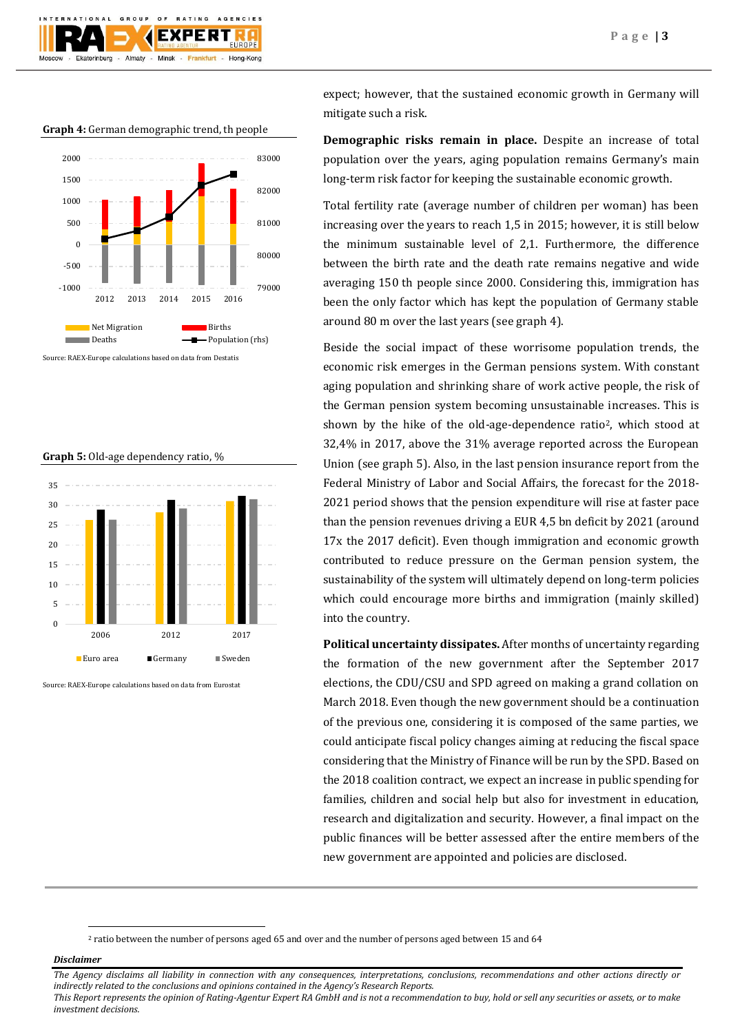

**Graph 4:** German demographic trend, th people



Source: RAEX-Europe calculations based on data from Destatis

## **Graph 5:** Old-age dependency ratio, %



Source: RAEX-Europe calculations based on data from Eurostat

expect; however, that the sustained economic growth in Germany will mitigate such a risk.

**Demographic risks remain in place.** Despite an increase of total population over the years, aging population remains Germany's main long-term risk factor for keeping the sustainable economic growth.

Total fertility rate (average number of children per woman) has been increasing over the years to reach 1,5 in 2015; however, it is still below the minimum sustainable level of 2,1. Furthermore, the difference between the birth rate and the death rate remains negative and wide averaging 150 th people since 2000. Considering this, immigration has been the only factor which has kept the population of Germany stable around 80 m over the last years (see graph 4).

Beside the social impact of these worrisome population trends, the economic risk emerges in the German pensions system. With constant aging population and shrinking share of work active people, the risk of the German pension system becoming unsustainable increases. This is shown by the hike of the old-age-dependence ratio<sup>2</sup>, which stood at 32,4% in 2017, above the 31% average reported across the European Union (see graph 5). Also, in the last pension insurance report from the Federal Ministry of Labor and Social Affairs, the forecast for the 2018- 2021 period shows that the pension expenditure will rise at faster pace than the pension revenues driving a EUR 4,5 bn deficit by 2021 (around 17x the 2017 deficit). Even though immigration and economic growth contributed to reduce pressure on the German pension system, the sustainability of the system will ultimately depend on long-term policies which could encourage more births and immigration (mainly skilled) into the country.

**Political uncertainty dissipates.** After months of uncertainty regarding the formation of the new government after the September 2017 elections, the CDU/CSU and SPD agreed on making a grand collation on March 2018. Even though the new government should be a continuation of the previous one, considering it is composed of the same parties, we could anticipate fiscal policy changes aiming at reducing the fiscal space considering that the Ministry of Finance will be run by the SPD. Based on the 2018 coalition contract, we expect an increase in public spending for families, children and social help but also for investment in education, research and digitalization and security. However, a final impact on the public finances will be better assessed after the entire members of the new government are appointed and policies are disclosed.

<sup>2</sup> ratio between the number of persons aged 65 and over and the number of persons aged between 15 and 64

*Disclaimer* 

1

*The Agency disclaims all liability in connection with any consequences, interpretations, conclusions, recommendations and other actions directly or indirectly related to the conclusions and opinions contained in the Agency's Research Reports. This Report represents the opinion of Rating-Agentur Expert RA GmbH and is not a recommendation to buy, hold or sell any securities or assets, or to make investment decisions.*